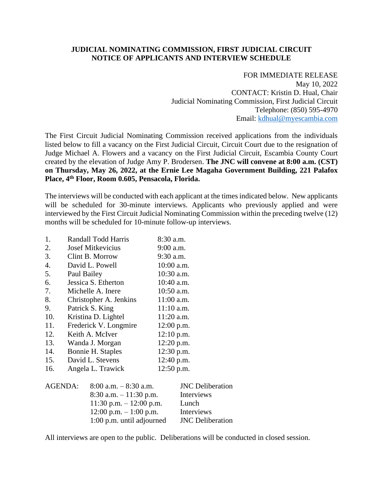## **JUDICIAL NOMINATING COMMISSION, FIRST JUDICIAL CIRCUIT NOTICE OF APPLICANTS AND INTERVIEW SCHEDULE**

## FOR IMMEDIATE RELEASE May 10, 2022 CONTACT: Kristin D. Hual, Chair

Judicial Nominating Commission, First Judicial Circuit Telephone: (850) 595-4970 Email: [kdhual@myescambia.com](mailto:kdhual@myescambia.com)

The First Circuit Judicial Nominating Commission received applications from the individuals listed below to fill a vacancy on the First Judicial Circuit, Circuit Court due to the resignation of Judge Michael A. Flowers and a vacancy on the First Judicial Circuit, Escambia County Court created by the elevation of Judge Amy P. Brodersen. **The JNC will convene at 8:00 a.m. (CST) on Thursday, May 26, 2022, at the Ernie Lee Magaha Government Building, 221 Palafox Place, 4th Floor, Room 0.605, Pensacola, Florida.**

The interviews will be conducted with each applicant at the times indicated below. New applicants will be scheduled for 30-minute interviews. Applicants who previously applied and were interviewed by the First Circuit Judicial Nominating Commission within the preceding twelve (12) months will be scheduled for 10-minute follow-up interviews.

| 1.  | <b>Randall Todd Harris</b> | 8:30 a.m.    |
|-----|----------------------------|--------------|
| 2.  | <b>Josef Mitkevicius</b>   | 9:00 a.m.    |
| 3.  | Clint B. Morrow            | 9:30 a.m.    |
| 4.  | David L. Powell            | 10:00 a.m.   |
| 5.  | Paul Bailey                | 10:30 a.m.   |
| 6.  | Jessica S. Etherton        | 10:40 a.m.   |
| 7.  | Michelle A. Inere          | 10:50 a.m.   |
| 8.  | Christopher A. Jenkins     | $11:00$ a.m. |
| 9.  | Patrick S. King            | $11:10$ a.m. |
| 10. | Kristina D. Lightel        | $11:20$ a.m. |
| 11. | Frederick V. Longmire      | 12:00 p.m.   |
| 12. | Keith A. McIver            | 12:10 p.m.   |
| 13. | Wanda J. Morgan            | 12:20 p.m.   |
| 14. | Bonnie H. Staples          | 12:30 p.m.   |
| 15. | David L. Stevens           | 12:40 p.m.   |
| 16. | Angela L. Trawick          | 12:50 p.m.   |
|     |                            |              |

| $8:00$ a.m. $-8:30$ a.m.  | <b>JNC</b> Deliberation |
|---------------------------|-------------------------|
| $8:30$ a.m. $-11:30$ p.m. | Interviews              |
| 11:30 p.m. $- 12:00$ p.m. | Lunch                   |
| $12:00$ p.m. $-1:00$ p.m. | Interviews              |
| 1:00 p.m. until adjourned | <b>JNC</b> Deliberation |
|                           |                         |

All interviews are open to the public. Deliberations will be conducted in closed session.